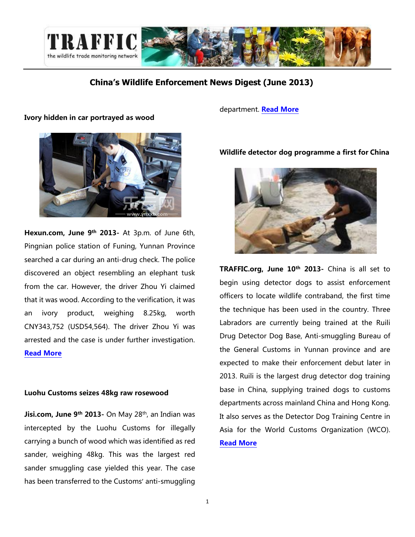

### **China's Wildlife Enforcement News Digest (June 2013)**

### Ivory hidden in car portrayed as wood

department. [Read More](http://www.jisi.gov.cn/News/szsm/gd/201306/20130609095238_9398.html)



Hexun.com, June 9<sup>th</sup> 2013- At 3p.m. of June 6th, Pingnian police station of Funing, Yunnan Province searched a car during an anti-drug check. The police discovered an object resembling an elephant tusk from the car. However, the driver Zhou Yi claimed that it was wood. According to the verification, it was an ivory product, weighing 8.25kg, worth CNY343,752 (USD54,564). The driver Zhou Yi was arrested and the case is under further investigation. [Read More](http://news.hexun.com/2013-06-09/155017065.html)

### Luohu Customs seizes 48kg raw rosewood

Jisi.com, June 9<sup>th</sup> 2013- On May 28<sup>th</sup>, an Indian was intercepted by the Luohu Customs for illegally carrying a bunch of wood which was identified as red sander, weighing 48kg. This was the largest red sander smuggling case yielded this year. The case has been transferred to the Customs' anti-smuggling

### [Wildlife detector dog programme a first for](http://www.traffic.org/home/2013/6/10/wildlife-detector-dog-programme-a-first-for-china.html) China



TRAFFIC.org, June 10<sup>th</sup> 2013- China is all set to begin using detector dogs to assist enforcement officers to locate wildlife contraband, the first time the technique has been used in the country. Three Labradors are currently being trained at the Ruili Drug Detector Dog Base, Anti-smuggling Bureau of the General Customs in Yunnan province and are expected to make their enforcement debut later in 2013. Ruili is the largest drug detector dog training base in China, supplying trained dogs to customs departments across mainland China and Hong Kong. It also serves as the Detector Dog Training Centre in Asia for the World Customs Organization (WCO). [Read More](http://www.traffic.org/home/2013/6/10/wildlife-detector-dog-programme-a-first-for-china.html)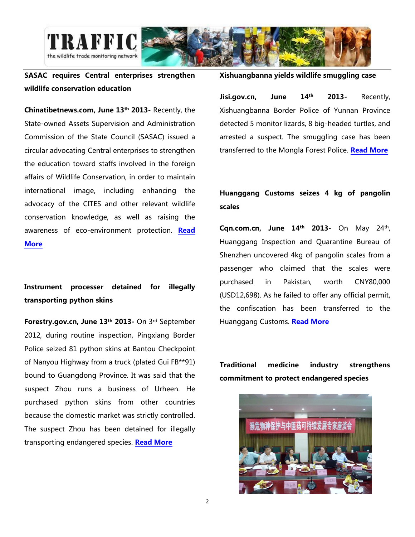

## SASAC requires Central enterprises strengthen wildlife conservation education

Chinatibetnews.com, June 13th 2013- Recently, the State-owned Assets Supervision and Administration Commission of the State Council (SASAC) issued a circular advocating Central enterprises to strengthen the education toward staffs involved in the foreign affairs of Wildlife Conservation, in order to maintain international image, including enhancing the advocacy of the CITES and other relevant wildlife conservation knowledge, as well as raising the awareness of eco-environment protection. Read

[More](http://www.chinatibetnews.com/caijing/2013-06/13/content_1234193.htm)

# Instrument processer detained for illegally transporting python skins

Forestry.gov.cn, June 13th 2013- On 3rd September 2012, during routine inspection, Pingxiang Border Police seized 81 python skins at Bantou Checkpoint of Nanyou Highway from a truck (plated Gui FB\*\*91) bound to Guangdong Province. It was said that the suspect Zhou runs a business of Urheen. He purchased python skins from other countries because the domestic market was strictly controlled. The suspect Zhou has been detained for illegally transporting endangered species. **[Read More](http://www.forestry.gov.cn/bhxh/651/content-608251.html)** 

### Xishuangbanna yields wildlife smuggling case

Jisi.gov.cn, June 14<sup>th</sup> 2013- Recently, Xishuangbanna Border Police of Yunnan Province detected 5 monitor lizards, 8 big-headed turtles, and arrested a suspect. The smuggling case has been transferred to the Mongla Forest Police. [Read More](http://www.jisi.gov.cn/News/szsm/yunnan/201306/20130614102037_9409.html)

# Huanggang Customs seizes 4 kg of pangolin scales

**Cqn.com.cn, June 14th 2013-** On May 24th, Huanggang Inspection and Quarantine Bureau of Shenzhen uncovered 4kg of pangolin scales from a passenger who claimed that the scales were purchased in Pakistan, worth CNY80,000 (USD12,698). As he failed to offer any official permit, the confiscation has been transferred to the Huanggang Customs. **[Read More](http://www.cqn.com.cn/news/zggmsb/disan/726171.html)** 

Traditional medicine industry strengthens commitment to protect endangered species

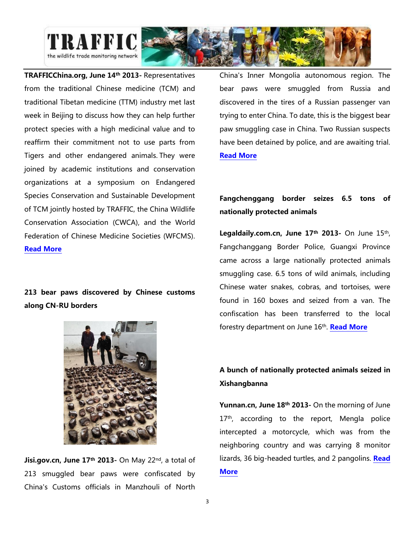

TRAFFICChina.org, June 14th 2013- Representatives from the traditional Chinese medicine (TCM) and traditional Tibetan medicine (TTM) industry met last week in Beijing to discuss how they can help further protect species with a high medicinal value and to reaffirm their commitment not to use parts from Tigers and other endangered animals. They were joined by academic institutions and conservation organizations at a symposium on Endangered Species Conservation and Sustainable Development of TCM jointly hosted by TRAFFIC, the China Wildlife Conservation Association (CWCA), and the World Federation of Chinese Medicine Societies (WFCMS). [Read More](http://www.trafficchina.org/node/132)

# 213 bear paws discovered by Chinese customs along CN-RU borders



Jisi.gov.cn, June 17<sup>th</sup> 2013- On May 22<sup>nd</sup>, a total of 213 smuggled bear paws were confiscated by China's Customs officials in Manzhouli of North China's Inner Mongolia autonomous region. The bear paws were smuggled from Russia and discovered in the tires of a Russian passenger van trying to enter China. To date, this is the biggest bear paw smuggling case in China. Two Russian suspects have been detained by police, and are awaiting trial. [Read More](http://www.jisi.gov.cn/News/szsm/nmg/201306/20130617100501_9417.html)

## Fangchenggang border seizes 6.5 tons of nationally protected animals

**Legaldaily.com.cn, June 17<sup>th</sup> 2013**- On June  $15<sup>th</sup>$ , Fangchanggang Border Police, Guangxi Province came across a large nationally protected animals smuggling case. 6.5 tons of wild animals, including Chinese water snakes, cobras, and tortoises, were found in 160 boxes and seized from a van. The confiscation has been transferred to the local forestry department on June 16<sup>th</sup>. **[Read More](http://www.legaldaily.com.cn/index/content/2013-06/17/content_4563349.htm?node=20908)** 

# A bunch of nationally protected animals seized in Xishangbanna

Yunnan.cn, June 18<sup>th</sup> 2013- On the morning of June 17<sup>th</sup>, according to the report, Mengla police intercepted a motorcycle, which was from the neighboring country and was carrying 8 monitor lizards, 36 big-headed turtles, and 2 pangolins. Read **[More](http://xsbn.yunnan.cn/html/2013-06/18/content_2772322.htm)**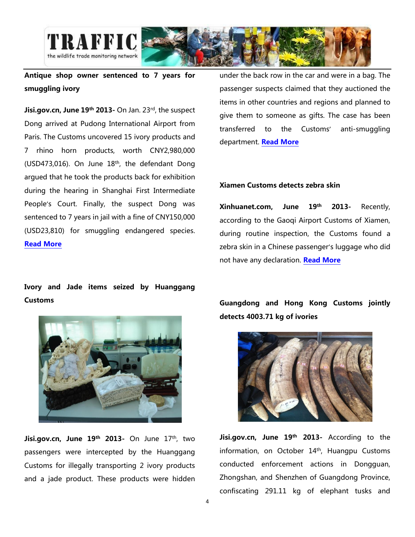

## Antique shop owner sentenced to 7 years for smuggling ivory

Jisi.gov.cn, June 19th 2013- On Jan. 23rd, the suspect Dong arrived at Pudong International Airport from Paris. The Customs uncovered 15 ivory products and 7 rhino horn products, worth CNY2,980,000 (USD473,016). On June  $18<sup>th</sup>$ , the defendant Dong argued that he took the products back for exhibition during the hearing in Shanghai First Intermediate People's Court. Finally, the suspect Dong was sentenced to 7 years in jail with a fine of CNY150,000 (USD23,810) for smuggling endangered species. [Read More](http://www.jisi.gov.cn/News/aljx/201306/20130619112152_9448.html)

Ivory and Jade items seized by Huanggang Customs



Jisi.gov.cn, June 19th 2013- On June 17th, two passengers were intercepted by the Huanggang Customs for illegally transporting 2 ivory products and a jade product. These products were hidden under the back row in the car and were in a bag. The passenger suspects claimed that they auctioned the items in other countries and regions and planned to give them to someone as gifts. The case has been transferred to the Customs' anti-smuggling department. [Read More](http://www.jisi.gov.cn/News/szsm/gd/201306/20130619091509_9441.html)

#### Xiamen Customs detects zebra skin

Xinhuanet.com, June 19th 2013- Recently, according to the Gaoqi Airport Customs of Xiamen, during routine inspection, the Customs found a zebra skin in a Chinese passenger's luggage who did not have any declaration. [Read More](http://news.xinhuanet.com/photo/2013-06/19/c_124877826.htm)

Guangdong and Hong Kong Customs jointly detects 4003.71 kg of ivories



Jisi.gov.cn, June 19<sup>th</sup> 2013- According to the information, on October 14th , Huangpu Customs conducted enforcement actions in Dongguan, Zhongshan, and Shenzhen of Guangdong Province, confiscating 291.11 kg of elephant tusks and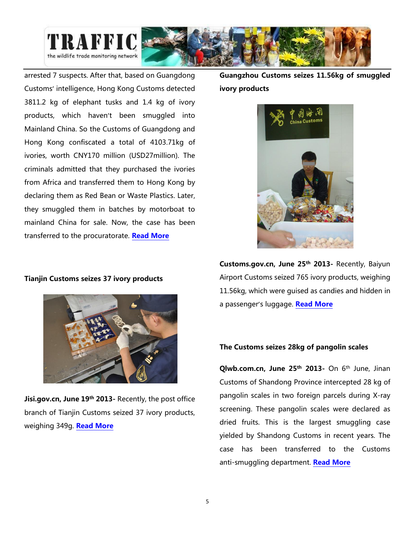

arrested 7 suspects. After that, based on Guangdong Customs' intelligence, Hong Kong Customs detected 3811.2 kg of elephant tusks and 1.4 kg of ivory products, which haven't been smuggled into Mainland China. So the Customs of Guangdong and Hong Kong confiscated a total of 4103.71kg of ivories, worth CNY170 million (USD27million). The criminals admitted that they purchased the ivories from Africa and transferred them to Hong Kong by declaring them as Red Bean or Waste Plastics. Later, they smuggled them in batches by motorboat to mainland China for sale. Now, the case has been transferred to the procuratorate. [Read More](http://www.jisi.gov.cn/News/szsm/gd/201306/20130619091509_9441.html)

#### Tianjin Customs seizes 37 ivory products



Jisi.gov.cn, June 19<sup>th</sup> 2013- Recently, the post office branch of Tianjin Customs seized 37 ivory products, weighing 349g. [Read More](http://www.jisi.gov.cn/News/aljx/201306/20130619112152_9448.html)

Guangzhou Customs seizes 11.56kg of smuggled ivory products



Customs.gov.cn, June 25<sup>th</sup> 2013- Recently, Baiyun Airport Customs seized 765 ivory products, weighing 11.56kg, which were guised as candies and hidden in a passenger's luggage. [Read More](http://www.customs.gov.cn/publish/portal0/tab39267/info434536.htm)

### The Customs seizes 28kg of pangolin scales

Qlwb.com.cn, June 25<sup>th</sup> 2013- On 6<sup>th</sup> June, Jinan Customs of Shandong Province intercepted 28 kg of pangolin scales in two foreign parcels during X-ray screening. These pangolin scales were declared as dried fruits. This is the largest smuggling case yielded by Shandong Customs in recent years. The case has been transferred to the Customs anti-smuggling department. [Read More](http://www.qlwb.com.cn/2013/0625/6233.shtml)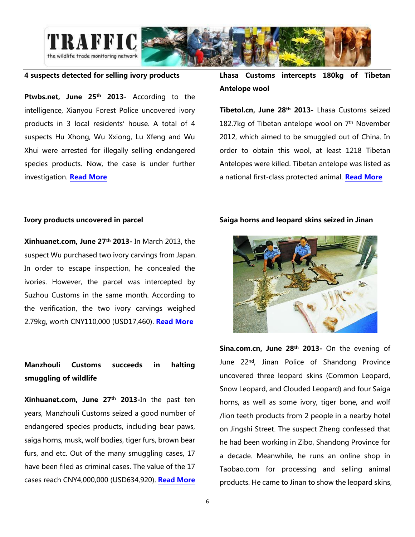

### 4 suspects detected for selling ivory products

Ptwbs.net, June 25<sup>th</sup> 2013- According to the intelligence, Xianyou Forest Police uncovered ivory products in 3 local residents' house. A total of 4 suspects Hu Xhong, Wu Xxiong, Lu Xfeng and Wu Xhui were arrested for illegally selling endangered species products. Now, the case is under further investigation. [Read More](http://www.ptwbs.net/shxw/20130625/967200055.shtml)

### Lhasa Customs intercepts 180kg of Tibetan Antelope wool

Tibetol.cn, June 28<sup>th</sup> 2013- Lhasa Customs seized 182.7kg of Tibetan antelope wool on 7<sup>th</sup> November 2012, which aimed to be smuggled out of China. In order to obtain this wool, at least 1218 Tibetan Antelopes were killed. Tibetan antelope was listed as a national first-class protected animal. [Read More](http://www.tibetol.cn/html/2013/xizangyaowen_0628/2533.html)

#### Ivory products uncovered in parcel

Xinhuanet.com, June 27th 2013- In March 2013, the suspect Wu purchased two ivory carvings from Japan. In order to escape inspection, he concealed the ivories. However, the parcel was intercepted by Suzhou Customs in the same month. According to the verification, the two ivory carvings weighed 2.79kg, worth CNY110,000 (USD17,460). [Read More](http://sz.xinhuanet.com/2013-06/27/c_116310163.htm)

## Manzhouli Customs succeeds in halting smuggling of wildlife

Xinhuanet.com, June 27th 2013-In the past ten years, Manzhouli Customs seized a good number of endangered species products, including bear paws, saiga horns, musk, wolf bodies, tiger furs, brown bear furs, and etc. Out of the many smuggling cases, 17 have been filed as criminal cases. The value of the 17 cases reach CNY4,000,000 (USD634,920). [Read More](http://www.nmg.xinhuanet.com/nmgwq/mzl/mzlyw/2013-06/27/c_116318120.htm)

### Saiga horns and leopard skins seized in Jinan



Sina.com.cn, June 28<sup>th</sup> 2013- On the evening of June 22nd, Jinan Police of Shandong Province uncovered three leopard skins (Common Leopard, Snow Leopard, and Clouded Leopard) and four Saiga horns, as well as some ivory, tiger bone, and wolf /lion teeth products from 2 people in a nearby hotel on Jingshi Street. The suspect Zheng confessed that he had been working in Zibo, Shandong Province for a decade. Meanwhile, he runs an online shop in Taobao.com for processing and selling animal products. He came to Jinan to show the leopard skins,